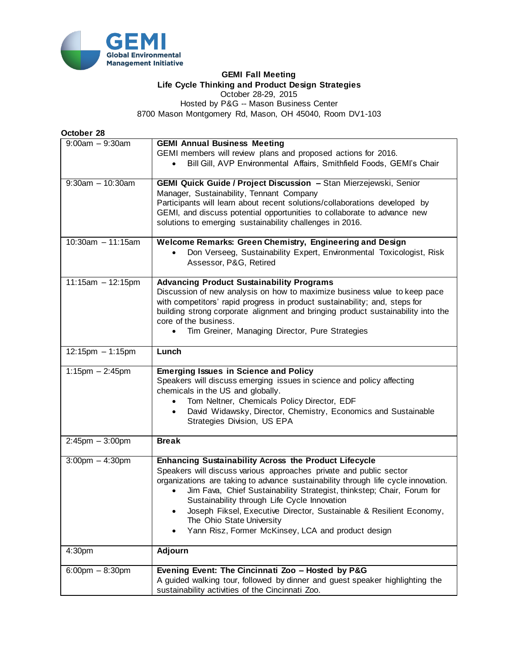

## **GEMI Fall Meeting Life Cycle Thinking and Product Design Strategies**

October 28-29, 2015

Hosted by P&G -- Mason Business Center 8700 Mason Montgomery Rd, Mason, OH 45040, Room DV1-103

**October 28**

| $9:00am - 9:30am$     | <b>GEMI Annual Business Meeting</b>                                               |
|-----------------------|-----------------------------------------------------------------------------------|
|                       | GEMI members will review plans and proposed actions for 2016.                     |
|                       | Bill Gill, AVP Environmental Affairs, Smithfield Foods, GEMI's Chair              |
|                       |                                                                                   |
| $9:30am - 10:30am$    | GEMI Quick Guide / Project Discussion - Stan Mierzejewski, Senior                 |
|                       | Manager, Sustainability, Tennant Company                                          |
|                       | Participants will learn about recent solutions/collaborations developed by        |
|                       |                                                                                   |
|                       | GEMI, and discuss potential opportunities to collaborate to advance new           |
|                       | solutions to emerging sustainability challenges in 2016.                          |
| $10:30$ am - 11:15am  | Welcome Remarks: Green Chemistry, Engineering and Design                          |
|                       |                                                                                   |
|                       | Don Verseeg, Sustainability Expert, Environmental Toxicologist, Risk              |
|                       | Assessor, P&G, Retired                                                            |
| $11:15am - 12:15pm$   | <b>Advancing Product Sustainability Programs</b>                                  |
|                       | Discussion of new analysis on how to maximize business value to keep pace         |
|                       |                                                                                   |
|                       | with competitors' rapid progress in product sustainability; and, steps for        |
|                       | building strong corporate alignment and bringing product sustainability into the  |
|                       | core of the business.                                                             |
|                       | Tim Greiner, Managing Director, Pure Strategies<br>$\bullet$                      |
| $12:15pm - 1:15pm$    | Lunch                                                                             |
|                       |                                                                                   |
| $1:15$ pm $-2:45$ pm  | <b>Emerging Issues in Science and Policy</b>                                      |
|                       | Speakers will discuss emerging issues in science and policy affecting             |
|                       | chemicals in the US and globally.                                                 |
|                       | Tom Neltner, Chemicals Policy Director, EDF                                       |
|                       | David Widawsky, Director, Chemistry, Economics and Sustainable<br>$\bullet$       |
|                       |                                                                                   |
|                       | Strategies Division, US EPA                                                       |
| $2:45$ pm $-3:00$ pm  | <b>Break</b>                                                                      |
|                       |                                                                                   |
| $3:00$ pm $-4:30$ pm  | <b>Enhancing Sustainability Across the Product Lifecycle</b>                      |
|                       | Speakers will discuss various approaches private and public sector                |
|                       | organizations are taking to advance sustainability through life cycle innovation. |
|                       | Jim Fava, Chief Sustainability Strategist, thinkstep; Chair, Forum for            |
|                       | Sustainability through Life Cycle Innovation                                      |
|                       |                                                                                   |
|                       | Joseph Fiksel, Executive Director, Sustainable & Resilient Economy,<br>$\bullet$  |
|                       | The Ohio State University                                                         |
|                       | Yann Risz, Former McKinsey, LCA and product design                                |
| 4:30pm                | <b>Adjourn</b>                                                                    |
|                       |                                                                                   |
| $6:00$ pm $- 8:30$ pm | Evening Event: The Cincinnati Zoo - Hosted by P&G                                 |
|                       |                                                                                   |
|                       | A guided walking tour, followed by dinner and guest speaker highlighting the      |